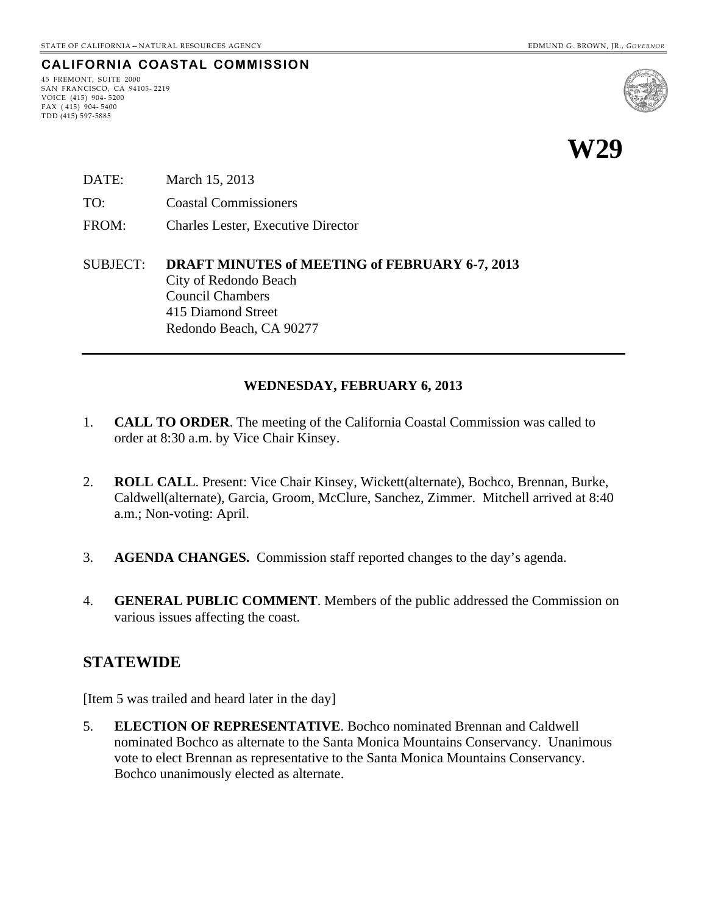# **CALIFORNIA COASTAL COMMISSION**

45 FREMONT, SUITE 2000 SAN FRANCISCO, CA 94105- 2219 VOICE (415) 904- 5200 FAX ( 415) 904- 5400 TDD (415) 597-5885



- DATE: March 15, 2013 TO: Coastal Commissioners FROM: Charles Lester, Executive Director
- SUBJECT: **DRAFT MINUTES of MEETING of FEBRUARY 6-7, 2013** City of Redondo Beach Council Chambers 415 Diamond Street Redondo Beach, CA 90277

#### **WEDNESDAY, FEBRUARY 6, 2013**

- 1. **CALL TO ORDER**. The meeting of the California Coastal Commission was called to order at 8:30 a.m. by Vice Chair Kinsey.
- 2. **ROLL CALL**. Present: Vice Chair Kinsey, Wickett(alternate), Bochco, Brennan, Burke, Caldwell(alternate), Garcia, Groom, McClure, Sanchez, Zimmer. Mitchell arrived at 8:40 a.m.; Non-voting: April.
- 3. **AGENDA CHANGES.** Commission staff reported changes to the day's agenda.
- 4. **GENERAL PUBLIC COMMENT**. Members of the public addressed the Commission on various issues affecting the coast.

### **STATEWIDE**

[Item 5 was trailed and heard later in the day]

5. **ELECTION OF REPRESENTATIVE**. Bochco nominated Brennan and Caldwell nominated Bochco as alternate to the Santa Monica Mountains Conservancy. Unanimous vote to elect Brennan as representative to the Santa Monica Mountains Conservancy. Bochco unanimously elected as alternate.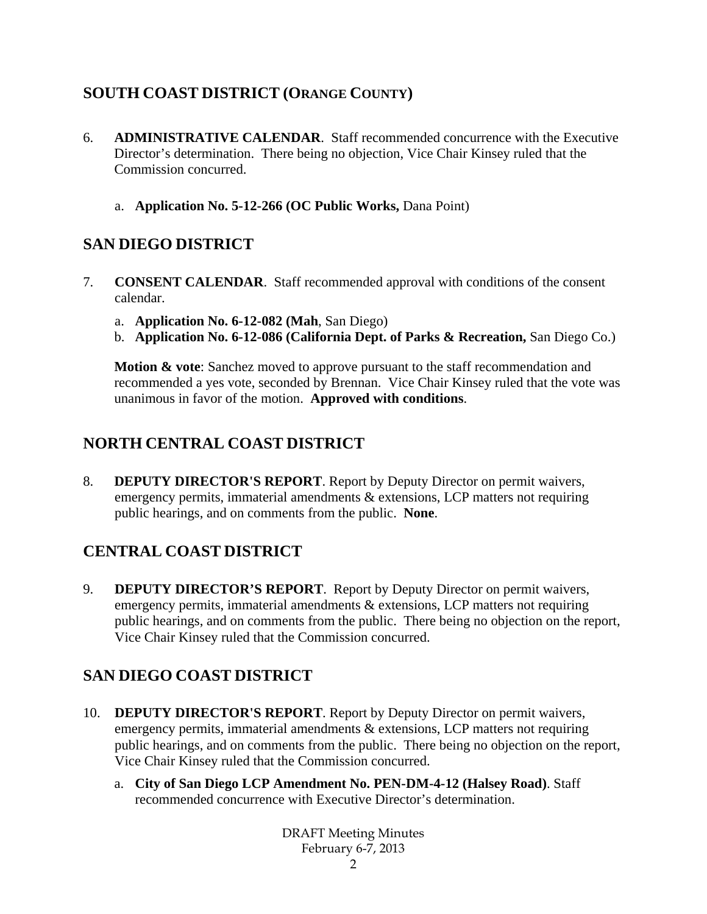# **SOUTH COAST DISTRICT (ORANGE COUNTY)**

- 6. **ADMINISTRATIVE CALENDAR**. Staff recommended concurrence with the Executive Director's determination. There being no objection, Vice Chair Kinsey ruled that the Commission concurred.
	- a. **Application No. 5-12-266 (OC Public Works,** Dana Point)

# **SAN DIEGO DISTRICT**

- 7. **CONSENT CALENDAR**. Staff recommended approval with conditions of the consent calendar.
	- a. **Application No. 6-12-082 (Mah**, San Diego)
	- b. **Application No. 6-12-086 (California Dept. of Parks & Recreation,** San Diego Co.)

**Motion & vote:** Sanchez moved to approve pursuant to the staff recommendation and recommended a yes vote, seconded by Brennan. Vice Chair Kinsey ruled that the vote was unanimous in favor of the motion. **Approved with conditions**.

# **NORTH CENTRAL COAST DISTRICT**

8. **DEPUTY DIRECTOR'S REPORT**. Report by Deputy Director on permit waivers, emergency permits, immaterial amendments & extensions, LCP matters not requiring public hearings, and on comments from the public. **None**.

# **CENTRAL COAST DISTRICT**

9. **DEPUTY DIRECTOR'S REPORT**. Report by Deputy Director on permit waivers, emergency permits, immaterial amendments & extensions, LCP matters not requiring public hearings, and on comments from the public. There being no objection on the report, Vice Chair Kinsey ruled that the Commission concurred.

# **SAN DIEGO COAST DISTRICT**

- 10. **DEPUTY DIRECTOR'S REPORT**. Report by Deputy Director on permit waivers, emergency permits, immaterial amendments & extensions, LCP matters not requiring public hearings, and on comments from the public. There being no objection on the report, Vice Chair Kinsey ruled that the Commission concurred.
	- a. **City of San Diego LCP Amendment No. PEN-DM-4-12 (Halsey Road)**. Staff recommended concurrence with Executive Director's determination.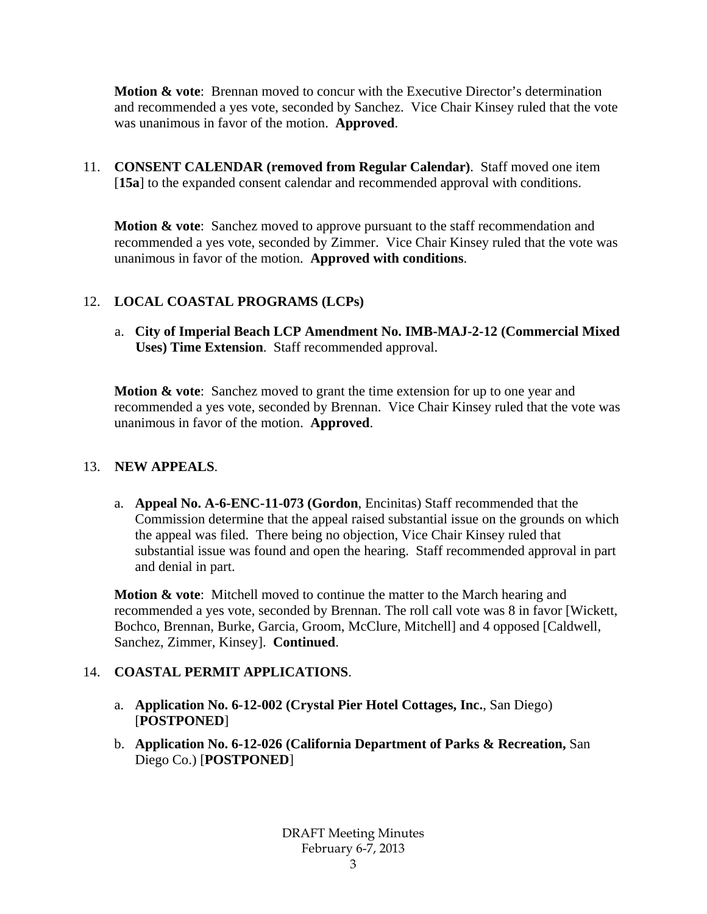**Motion & vote**: Brennan moved to concur with the Executive Director's determination and recommended a yes vote, seconded by Sanchez. Vice Chair Kinsey ruled that the vote was unanimous in favor of the motion. **Approved**.

11. **CONSENT CALENDAR (removed from Regular Calendar)**. Staff moved one item [**15a**] to the expanded consent calendar and recommended approval with conditions.

**Motion & vote:** Sanchez moved to approve pursuant to the staff recommendation and recommended a yes vote, seconded by Zimmer. Vice Chair Kinsey ruled that the vote was unanimous in favor of the motion. **Approved with conditions**.

### 12. **LOCAL COASTAL PROGRAMS (LCPs)**

a. **City of Imperial Beach LCP Amendment No. IMB-MAJ-2-12 (Commercial Mixed Uses) Time Extension**. Staff recommended approval.

**Motion & vote:** Sanchez moved to grant the time extension for up to one year and recommended a yes vote, seconded by Brennan. Vice Chair Kinsey ruled that the vote was unanimous in favor of the motion. **Approved**.

#### 13. **NEW APPEALS**.

a. **Appeal No. A-6-ENC-11-073 (Gordon**, Encinitas) Staff recommended that the Commission determine that the appeal raised substantial issue on the grounds on which the appeal was filed. There being no objection, Vice Chair Kinsey ruled that substantial issue was found and open the hearing. Staff recommended approval in part and denial in part.

**Motion & vote**: Mitchell moved to continue the matter to the March hearing and recommended a yes vote, seconded by Brennan. The roll call vote was 8 in favor [Wickett, Bochco, Brennan, Burke, Garcia, Groom, McClure, Mitchell] and 4 opposed [Caldwell, Sanchez, Zimmer, Kinsey]. **Continued**.

### 14. **COASTAL PERMIT APPLICATIONS**.

- a. **Application No. 6-12-002 (Crystal Pier Hotel Cottages, Inc.**, San Diego) [**POSTPONED**]
- b. **Application No. 6-12-026 (California Department of Parks & Recreation,** San Diego Co.) [**POSTPONED**]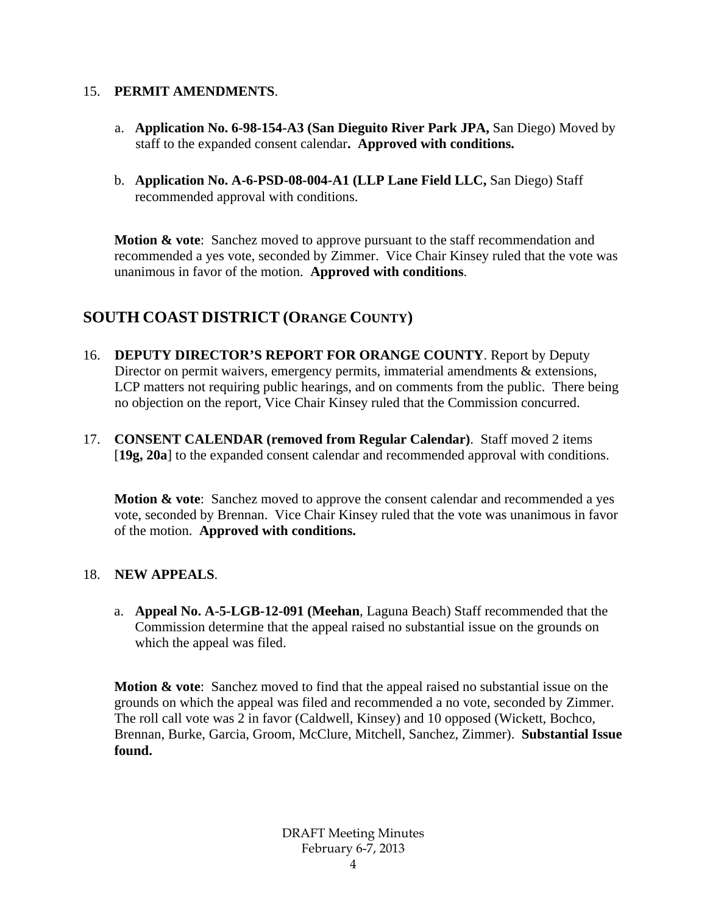#### 15. **PERMIT AMENDMENTS**.

- a. **Application No. 6-98-154-A3 (San Dieguito River Park JPA,** San Diego) Moved by staff to the expanded consent calendar**. Approved with conditions.**
- b. **Application No. A-6-PSD-08-004-A1 (LLP Lane Field LLC,** San Diego) Staff recommended approval with conditions.

**Motion & vote:** Sanchez moved to approve pursuant to the staff recommendation and recommended a yes vote, seconded by Zimmer. Vice Chair Kinsey ruled that the vote was unanimous in favor of the motion. **Approved with conditions**.

## **SOUTH COAST DISTRICT (ORANGE COUNTY)**

- 16. **DEPUTY DIRECTOR'S REPORT FOR ORANGE COUNTY**. Report by Deputy Director on permit waivers, emergency permits, immaterial amendments & extensions, LCP matters not requiring public hearings, and on comments from the public. There being no objection on the report, Vice Chair Kinsey ruled that the Commission concurred.
- 17. **CONSENT CALENDAR (removed from Regular Calendar)**. Staff moved 2 items [**19g, 20a**] to the expanded consent calendar and recommended approval with conditions.

**Motion & vote:** Sanchez moved to approve the consent calendar and recommended a yes vote, seconded by Brennan. Vice Chair Kinsey ruled that the vote was unanimous in favor of the motion. **Approved with conditions.** 

#### 18. **NEW APPEALS**.

a. **Appeal No. A-5-LGB-12-091 (Meehan**, Laguna Beach) Staff recommended that the Commission determine that the appeal raised no substantial issue on the grounds on which the appeal was filed.

**Motion & vote**: Sanchez moved to find that the appeal raised no substantial issue on the grounds on which the appeal was filed and recommended a no vote, seconded by Zimmer. The roll call vote was 2 in favor (Caldwell, Kinsey) and 10 opposed (Wickett, Bochco, Brennan, Burke, Garcia, Groom, McClure, Mitchell, Sanchez, Zimmer). **Substantial Issue found.**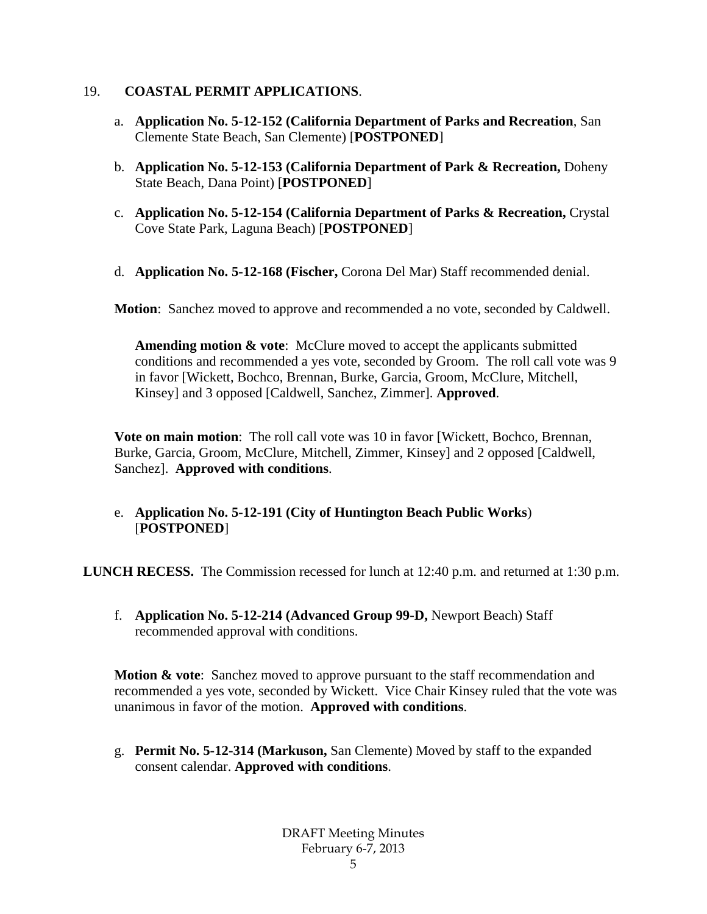#### 19. **COASTAL PERMIT APPLICATIONS**.

- a. **Application No. 5-12-152 (California Department of Parks and Recreation**, San Clemente State Beach, San Clemente) [**POSTPONED**]
- b. **Application No. 5-12-153 (California Department of Park & Recreation,** Doheny State Beach, Dana Point) [**POSTPONED**]
- c. **Application No. 5-12-154 (California Department of Parks & Recreation,** Crystal Cove State Park, Laguna Beach) [**POSTPONED**]
- d. **Application No. 5-12-168 (Fischer,** Corona Del Mar) Staff recommended denial.

**Motion**: Sanchez moved to approve and recommended a no vote, seconded by Caldwell.

**Amending motion & vote**: McClure moved to accept the applicants submitted conditions and recommended a yes vote, seconded by Groom. The roll call vote was 9 in favor [Wickett, Bochco, Brennan, Burke, Garcia, Groom, McClure, Mitchell, Kinsey] and 3 opposed [Caldwell, Sanchez, Zimmer]. **Approved**.

**Vote on main motion**: The roll call vote was 10 in favor [Wickett, Bochco, Brennan, Burke, Garcia, Groom, McClure, Mitchell, Zimmer, Kinsey] and 2 opposed [Caldwell, Sanchez]. **Approved with conditions**.

e. **Application No. 5-12-191 (City of Huntington Beach Public Works**) [**POSTPONED**]

**LUNCH RECESS.** The Commission recessed for lunch at 12:40 p.m. and returned at 1:30 p.m.

f. **Application No. 5-12-214 (Advanced Group 99-D,** Newport Beach) Staff recommended approval with conditions.

**Motion & vote:** Sanchez moved to approve pursuant to the staff recommendation and recommended a yes vote, seconded by Wickett. Vice Chair Kinsey ruled that the vote was unanimous in favor of the motion. **Approved with conditions**.

g. **Permit No. 5-12-314 (Markuson,** San Clemente) Moved by staff to the expanded consent calendar. **Approved with conditions**.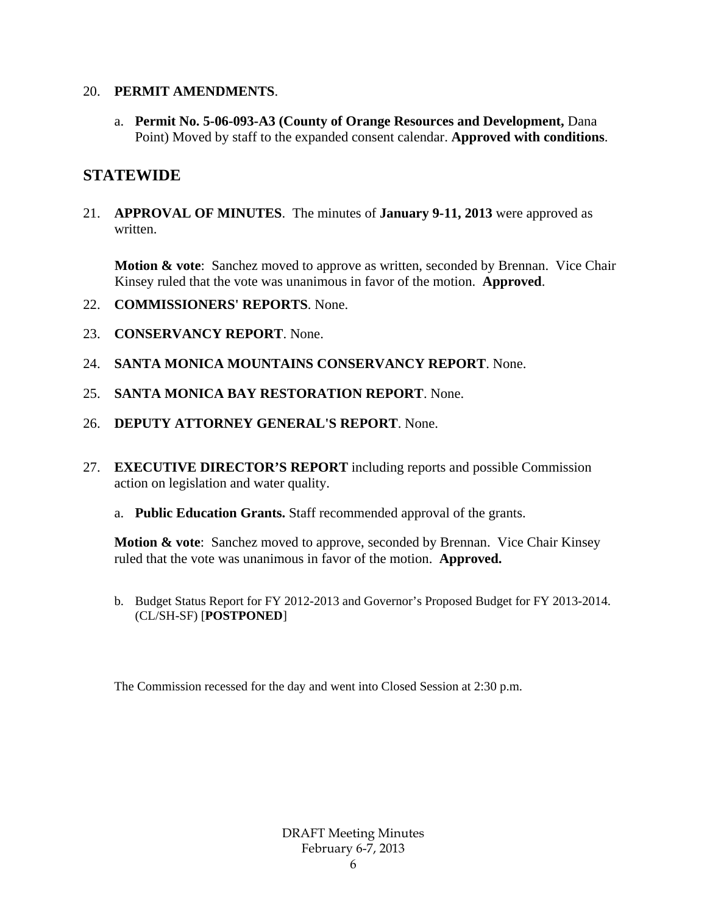#### 20. **PERMIT AMENDMENTS**.

a. **Permit No. 5-06-093-A3 (County of Orange Resources and Development,** Dana Point) Moved by staff to the expanded consent calendar. **Approved with conditions**.

## **STATEWIDE**

21. **APPROVAL OF MINUTES**. The minutes of **January 9-11, 2013** were approved as written.

**Motion & vote:** Sanchez moved to approve as written, seconded by Brennan. Vice Chair Kinsey ruled that the vote was unanimous in favor of the motion. **Approved**.

- 22. **COMMISSIONERS' REPORTS**. None.
- 23. **CONSERVANCY REPORT**. None.
- 24. **SANTA MONICA MOUNTAINS CONSERVANCY REPORT**. None.
- 25. **SANTA MONICA BAY RESTORATION REPORT**. None.
- 26. **DEPUTY ATTORNEY GENERAL'S REPORT**. None.
- 27. **EXECUTIVE DIRECTOR'S REPORT** including reports and possible Commission action on legislation and water quality.
	- a. **Public Education Grants.** Staff recommended approval of the grants.

**Motion & vote:** Sanchez moved to approve, seconded by Brennan. Vice Chair Kinsey ruled that the vote was unanimous in favor of the motion. **Approved.**

b. Budget Status Report for FY 2012-2013 and Governor's Proposed Budget for FY 2013-2014. (CL/SH-SF) [**POSTPONED**]

The Commission recessed for the day and went into Closed Session at 2:30 p.m.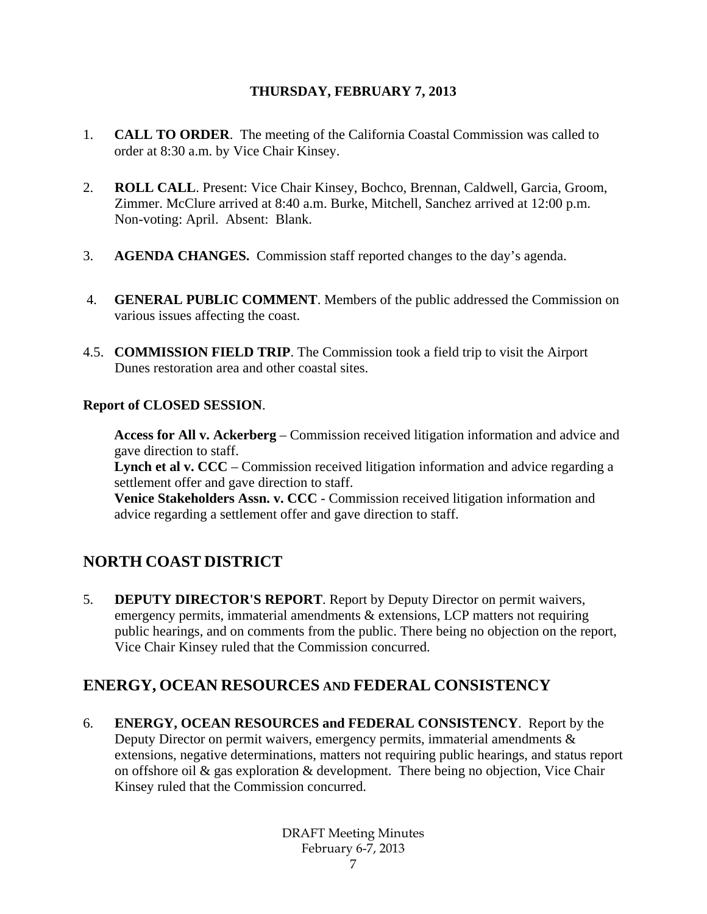#### **THURSDAY, FEBRUARY 7, 2013**

- 1. **CALL TO ORDER**. The meeting of the California Coastal Commission was called to order at 8:30 a.m. by Vice Chair Kinsey.
- 2. **ROLL CALL**. Present: Vice Chair Kinsey, Bochco, Brennan, Caldwell, Garcia, Groom, Zimmer. McClure arrived at 8:40 a.m. Burke, Mitchell, Sanchez arrived at 12:00 p.m. Non-voting: April. Absent: Blank.
- 3. **AGENDA CHANGES.** Commission staff reported changes to the day's agenda.
- 4. **GENERAL PUBLIC COMMENT**. Members of the public addressed the Commission on various issues affecting the coast.
- 4.5. **COMMISSION FIELD TRIP**. The Commission took a field trip to visit the Airport Dunes restoration area and other coastal sites.

#### **Report of CLOSED SESSION**.

**Access for All v. Ackerberg** – Commission received litigation information and advice and gave direction to staff.

Lynch et al v. CCC – Commission received litigation information and advice regarding a settlement offer and gave direction to staff.

**Venice Stakeholders Assn. v. CCC** - Commission received litigation information and advice regarding a settlement offer and gave direction to staff.

# **NORTH COAST DISTRICT**

5. **DEPUTY DIRECTOR'S REPORT**. Report by Deputy Director on permit waivers, emergency permits, immaterial amendments & extensions, LCP matters not requiring public hearings, and on comments from the public. There being no objection on the report, Vice Chair Kinsey ruled that the Commission concurred.

## **ENERGY, OCEAN RESOURCES AND FEDERAL CONSISTENCY**

6. **ENERGY, OCEAN RESOURCES and FEDERAL CONSISTENCY**. Report by the Deputy Director on permit waivers, emergency permits, immaterial amendments & extensions, negative determinations, matters not requiring public hearings, and status report on offshore oil & gas exploration & development. There being no objection, Vice Chair Kinsey ruled that the Commission concurred.

> DRAFT Meeting Minutes February 6-7, 2013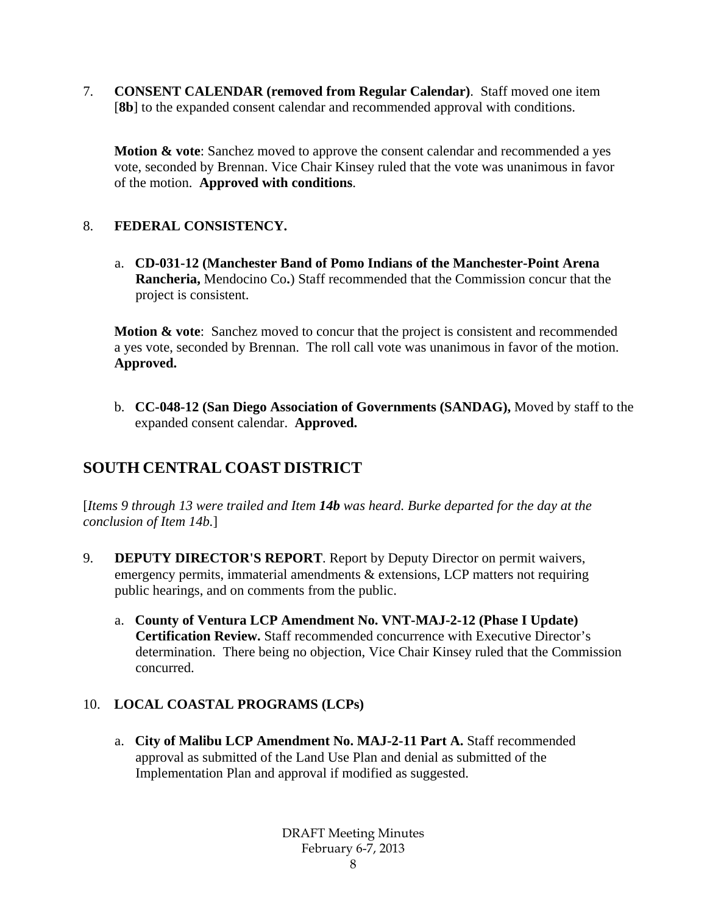7. **CONSENT CALENDAR (removed from Regular Calendar)**. Staff moved one item [**8b**] to the expanded consent calendar and recommended approval with conditions.

**Motion & vote**: Sanchez moved to approve the consent calendar and recommended a yes vote, seconded by Brennan. Vice Chair Kinsey ruled that the vote was unanimous in favor of the motion. **Approved with conditions**.

#### 8. **FEDERAL CONSISTENCY.**

a. **CD-031-12 (Manchester Band of Pomo Indians of the Manchester-Point Arena Rancheria,** Mendocino Co**.**) Staff recommended that the Commission concur that the project is consistent.

**Motion & vote:** Sanchez moved to concur that the project is consistent and recommended a yes vote, seconded by Brennan. The roll call vote was unanimous in favor of the motion. **Approved.**

b. **CC-048-12 (San Diego Association of Governments (SANDAG),** Moved by staff to the expanded consent calendar. **Approved.**

## **SOUTH CENTRAL COAST DISTRICT**

[*Items 9 through 13 were trailed and Item 14b was heard. Burke departed for the day at the conclusion of Item 14b.*]

- 9. **DEPUTY DIRECTOR'S REPORT**. Report by Deputy Director on permit waivers, emergency permits, immaterial amendments & extensions, LCP matters not requiring public hearings, and on comments from the public.
	- a. **County of Ventura LCP Amendment No. VNT-MAJ-2-12 (Phase I Update) Certification Review.** Staff recommended concurrence with Executive Director's determination. There being no objection, Vice Chair Kinsey ruled that the Commission concurred.

#### 10. **LOCAL COASTAL PROGRAMS (LCPs)**

a. **City of Malibu LCP Amendment No. MAJ-2-11 Part A.** Staff recommended approval as submitted of the Land Use Plan and denial as submitted of the Implementation Plan and approval if modified as suggested.

> DRAFT Meeting Minutes February 6-7, 2013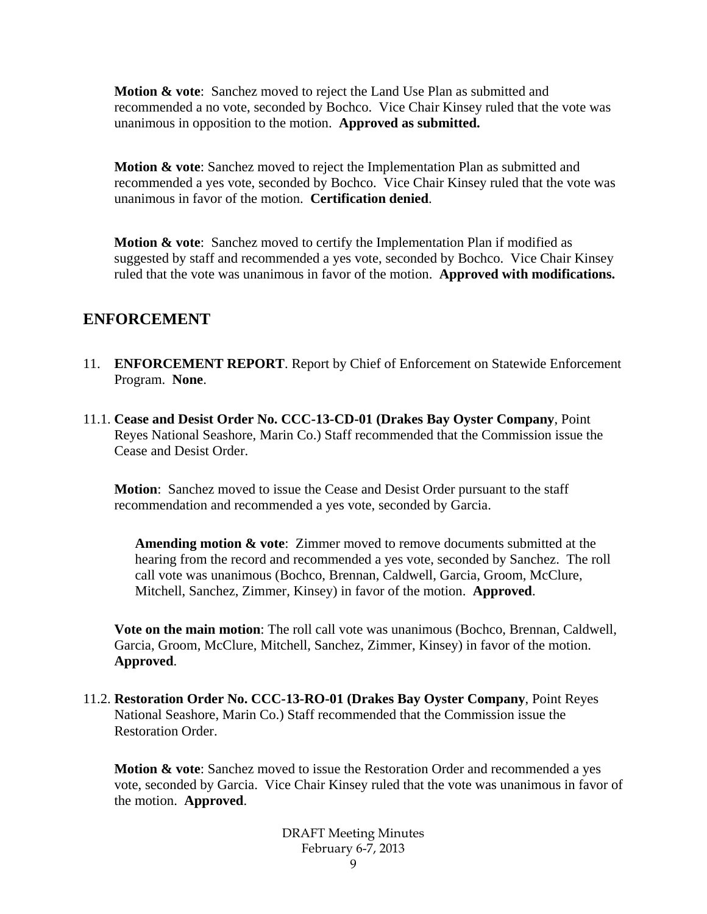**Motion & vote**: Sanchez moved to reject the Land Use Plan as submitted and recommended a no vote, seconded by Bochco. Vice Chair Kinsey ruled that the vote was unanimous in opposition to the motion. **Approved as submitted.** 

**Motion & vote**: Sanchez moved to reject the Implementation Plan as submitted and recommended a yes vote, seconded by Bochco. Vice Chair Kinsey ruled that the vote was unanimous in favor of the motion. **Certification denied**.

**Motion & vote:** Sanchez moved to certify the Implementation Plan if modified as suggested by staff and recommended a yes vote, seconded by Bochco. Vice Chair Kinsey ruled that the vote was unanimous in favor of the motion. **Approved with modifications.**

## **ENFORCEMENT**

- 11. **ENFORCEMENT REPORT**. Report by Chief of Enforcement on Statewide Enforcement Program. **None**.
- 11.1. **Cease and Desist Order No. CCC-13-CD-01 (Drakes Bay Oyster Company**, Point Reyes National Seashore, Marin Co.) Staff recommended that the Commission issue the Cease and Desist Order.

**Motion**: Sanchez moved to issue the Cease and Desist Order pursuant to the staff recommendation and recommended a yes vote, seconded by Garcia.

**Amending motion & vote**: Zimmer moved to remove documents submitted at the hearing from the record and recommended a yes vote, seconded by Sanchez. The roll call vote was unanimous (Bochco, Brennan, Caldwell, Garcia, Groom, McClure, Mitchell, Sanchez, Zimmer, Kinsey) in favor of the motion. **Approved**.

**Vote on the main motion**: The roll call vote was unanimous (Bochco, Brennan, Caldwell, Garcia, Groom, McClure, Mitchell, Sanchez, Zimmer, Kinsey) in favor of the motion. **Approved**.

11.2. **Restoration Order No. CCC-13-RO-01 (Drakes Bay Oyster Company**, Point Reyes National Seashore, Marin Co.) Staff recommended that the Commission issue the Restoration Order.

**Motion & vote**: Sanchez moved to issue the Restoration Order and recommended a yes vote, seconded by Garcia. Vice Chair Kinsey ruled that the vote was unanimous in favor of the motion. **Approved**.

> DRAFT Meeting Minutes February 6-7, 2013